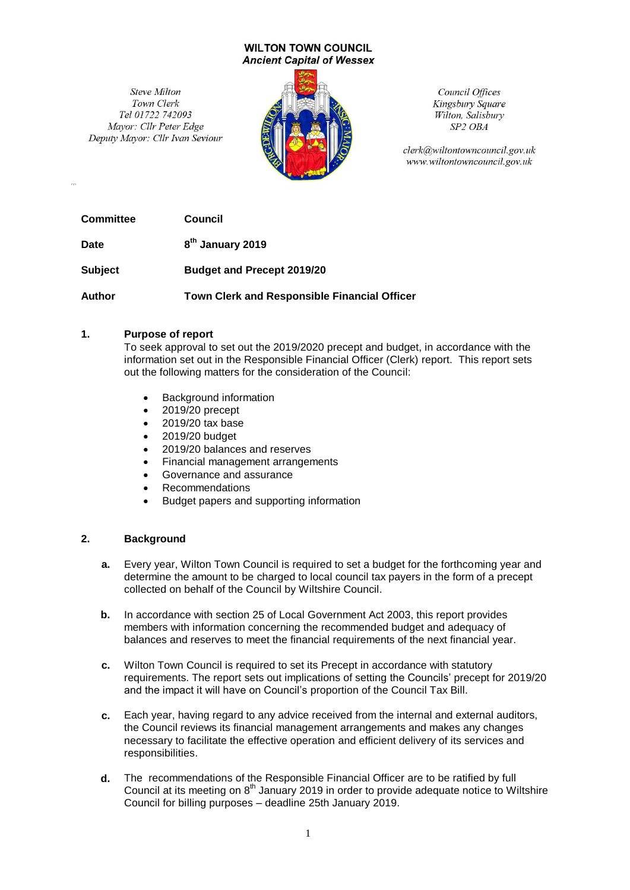#### **WILTON TOWN COUNCIL Ancient Capital of Wessex**

Steve Milton Town Clerk Tel 01722 742093 Mayor: Cllr Peter Edge Deputy Mayor: Cllr Ivan Seviour



Council Offices Kingsbury Square Wilton, Salisbury SP<sub>2</sub> OB<sub>A</sub>

clerk@wiltontowncouncil.gov.uk www.wiltontowncouncil.gov.uk

**Committee Council**

**Date 8 th January 2019**

**Subject Budget and Precept 2019/20**

**Author Town Clerk and Responsible Financial Officer**

## **1. Purpose of report**

To seek approval to set out the 2019/2020 precept and budget, in accordance with the information set out in the Responsible Financial Officer (Clerk) report. This report sets out the following matters for the consideration of the Council:

- Background information
- 2019/20 precept
- 2019/20 tax base
- 2019/20 budget
- 2019/20 balances and reserves
- Financial management arrangements
- Governance and assurance
- Recommendations
- Budget papers and supporting information

## **2. Background**

- **a.** Every year, Wilton Town Council is required to set a budget for the forthcoming year and determine the amount to be charged to local council tax payers in the form of a precept collected on behalf of the Council by Wiltshire Council.
- **b.** In accordance with section 25 of Local Government Act 2003, this report provides members with information concerning the recommended budget and adequacy of balances and reserves to meet the financial requirements of the next financial year.
- **c.** Wilton Town Council is required to set its Precept in accordance with statutory requirements. The report sets out implications of setting the Councils' precept for 2019/20 and the impact it will have on Council's proportion of the Council Tax Bill.
- **c.** Each year, having regard to any advice received from the internal and external auditors, the Council reviews its financial management arrangements and makes any changes necessary to facilitate the effective operation and efficient delivery of its services and responsibilities.
- **d.** The recommendations of the Responsible Financial Officer are to be ratified by full Council at its meeting on  $8<sup>th</sup>$  January 2019 in order to provide adequate notice to Wiltshire Council for billing purposes – deadline 25th January 2019.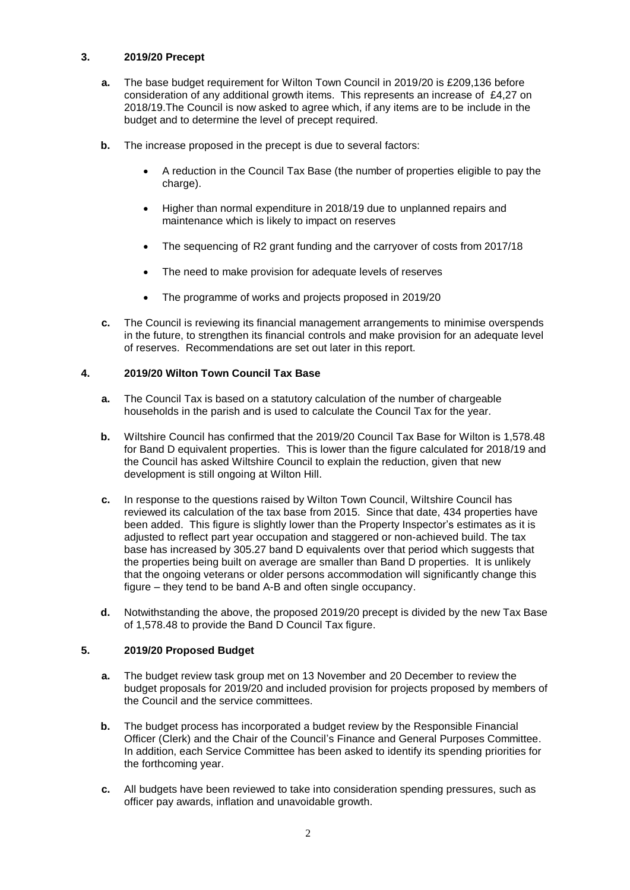## **3. 2019/20 Precept**

- **a.** The base budget requirement for Wilton Town Council in 2019/20 is £209,136 before consideration of any additional growth items. This represents an increase of £4,27 on 2018/19.The Council is now asked to agree which, if any items are to be include in the budget and to determine the level of precept required.
- **b.** The increase proposed in the precept is due to several factors:
	- A reduction in the Council Tax Base (the number of properties eligible to pay the charge).
	- Higher than normal expenditure in 2018/19 due to unplanned repairs and maintenance which is likely to impact on reserves
	- The sequencing of R2 grant funding and the carryover of costs from 2017/18
	- The need to make provision for adequate levels of reserves
	- The programme of works and projects proposed in 2019/20
- **c.** The Council is reviewing its financial management arrangements to minimise overspends in the future, to strengthen its financial controls and make provision for an adequate level of reserves. Recommendations are set out later in this report.

# **4. 2019/20 Wilton Town Council Tax Base**

- **a.** The Council Tax is based on a statutory calculation of the number of chargeable households in the parish and is used to calculate the Council Tax for the year.
- **b.** Wiltshire Council has confirmed that the 2019/20 Council Tax Base for Wilton is 1,578.48 for Band D equivalent properties. This is lower than the figure calculated for 2018/19 and the Council has asked Wiltshire Council to explain the reduction, given that new development is still ongoing at Wilton Hill.
- **c.** In response to the questions raised by Wilton Town Council, Wiltshire Council has reviewed its calculation of the tax base from 2015. Since that date, 434 properties have been added. This figure is slightly lower than the Property Inspector's estimates as it is adjusted to reflect part year occupation and staggered or non-achieved build. The tax base has increased by 305.27 band D equivalents over that period which suggests that the properties being built on average are smaller than Band D properties. It is unlikely that the ongoing veterans or older persons accommodation will significantly change this figure – they tend to be band A-B and often single occupancy.
- **d.** Notwithstanding the above, the proposed 2019/20 precept is divided by the new Tax Base of 1,578.48 to provide the Band D Council Tax figure.

## **5. 2019/20 Proposed Budget**

- **a.** The budget review task group met on 13 November and 20 December to review the budget proposals for 2019/20 and included provision for projects proposed by members of the Council and the service committees.
- **b.** The budget process has incorporated a budget review by the Responsible Financial Officer (Clerk) and the Chair of the Council's Finance and General Purposes Committee. In addition, each Service Committee has been asked to identify its spending priorities for the forthcoming year.
- **c.** All budgets have been reviewed to take into consideration spending pressures, such as officer pay awards, inflation and unavoidable growth.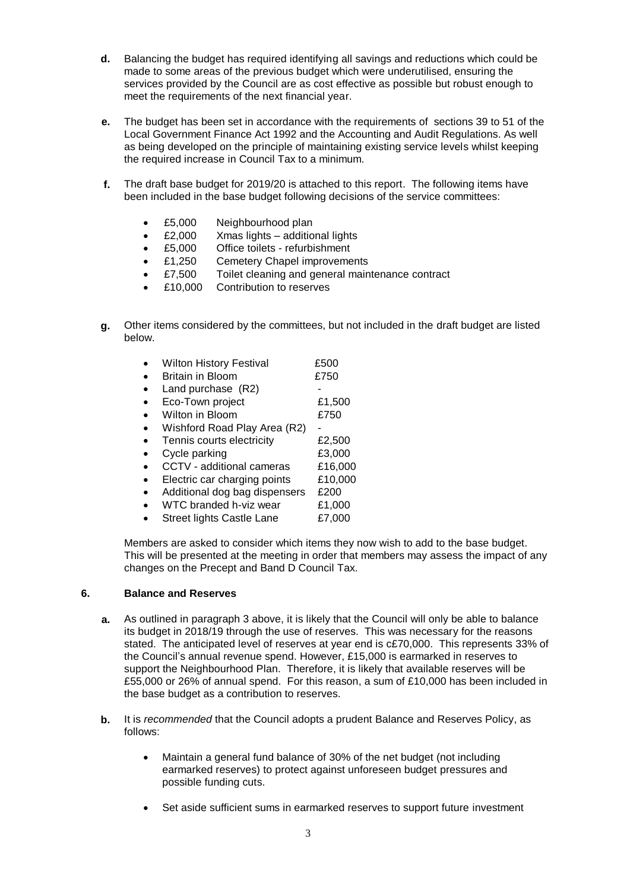- **d.** Balancing the budget has required identifying all savings and reductions which could be made to some areas of the previous budget which were underutilised, ensuring the services provided by the Council are as cost effective as possible but robust enough to meet the requirements of the next financial year.
- **e.** The budget has been set in accordance with the requirements of sections 39 to 51 of the Local Government Finance Act 1992 and the Accounting and Audit Regulations. As well as being developed on the principle of maintaining existing service levels whilst keeping the required increase in Council Tax to a minimum.
- **f.** The draft base budget for 2019/20 is attached to this report. The following items have been included in the base budget following decisions of the service committees:
	- £5,000 Neighbourhood plan
	- £2,000 Xmas lights additional lights
	- £5,000 Office toilets refurbishment
	- £1,250 Cemetery Chapel improvements
	- £7,500 Toilet cleaning and general maintenance contract
	- £10,000 Contribution to reserves
- **g.** Other items considered by the committees, but not included in the draft budget are listed below.
	- Wilton History Festival **E500** Britain in Bloom **£750**  $\bullet$  Land purchase  $(R2)$ • Eco-Town project **E1,500** • Wilton in Bloom **£750** • Wishford Road Play Area (R2) • Tennis courts electricity **E2,500** • Cycle parking **E3,000**  CCTV - additional cameras £16,000 • Electric car charging points £10,000 • Additional dog bag dispensers £200 WTC branded h-viz wear £1,000
	- Street lights Castle Lane £7,000

Members are asked to consider which items they now wish to add to the base budget. This will be presented at the meeting in order that members may assess the impact of any changes on the Precept and Band D Council Tax.

#### **6. Balance and Reserves**

- **a.** As outlined in paragraph 3 above, it is likely that the Council will only be able to balance its budget in 2018/19 through the use of reserves. This was necessary for the reasons stated. The anticipated level of reserves at year end is c£70,000. This represents 33% of the Council's annual revenue spend. However, £15,000 is earmarked in reserves to support the Neighbourhood Plan. Therefore, it is likely that available reserves will be £55,000 or 26% of annual spend. For this reason, a sum of £10,000 has been included in the base budget as a contribution to reserves.
- **b.** It is *recommended* that the Council adopts a prudent Balance and Reserves Policy, as follows:
	- Maintain a general fund balance of 30% of the net budget (not including earmarked reserves) to protect against unforeseen budget pressures and possible funding cuts.
	- Set aside sufficient sums in earmarked reserves to support future investment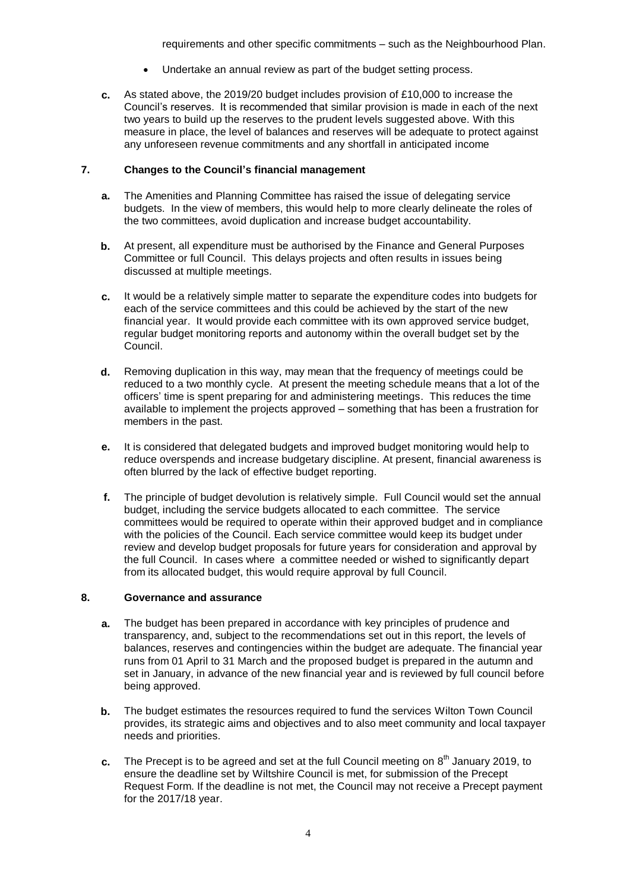requirements and other specific commitments – such as the Neighbourhood Plan.

- Undertake an annual review as part of the budget setting process.
- **c.** As stated above, the 2019/20 budget includes provision of £10,000 to increase the Council's reserves. It is recommended that similar provision is made in each of the next two years to build up the reserves to the prudent levels suggested above. With this measure in place, the level of balances and reserves will be adequate to protect against any unforeseen revenue commitments and any shortfall in anticipated income

## **7. Changes to the Council's financial management**

- **a.** The Amenities and Planning Committee has raised the issue of delegating service budgets. In the view of members, this would help to more clearly delineate the roles of the two committees, avoid duplication and increase budget accountability.
- **b.** At present, all expenditure must be authorised by the Finance and General Purposes Committee or full Council. This delays projects and often results in issues being discussed at multiple meetings.
- **c.** It would be a relatively simple matter to separate the expenditure codes into budgets for each of the service committees and this could be achieved by the start of the new financial year. It would provide each committee with its own approved service budget, regular budget monitoring reports and autonomy within the overall budget set by the Council.
- **d.** Removing duplication in this way, may mean that the frequency of meetings could be reduced to a two monthly cycle. At present the meeting schedule means that a lot of the officers' time is spent preparing for and administering meetings. This reduces the time available to implement the projects approved – something that has been a frustration for members in the past.
- **e.** It is considered that delegated budgets and improved budget monitoring would help to reduce overspends and increase budgetary discipline. At present, financial awareness is often blurred by the lack of effective budget reporting.
- **f.** The principle of budget devolution is relatively simple. Full Council would set the annual budget, including the service budgets allocated to each committee. The service committees would be required to operate within their approved budget and in compliance with the policies of the Council. Each service committee would keep its budget under review and develop budget proposals for future years for consideration and approval by the full Council. In cases where a committee needed or wished to significantly depart from its allocated budget, this would require approval by full Council.

## **8. Governance and assurance**

- **a.** The budget has been prepared in accordance with key principles of prudence and transparency, and, subject to the recommendations set out in this report, the levels of balances, reserves and contingencies within the budget are adequate. The financial year runs from 01 April to 31 March and the proposed budget is prepared in the autumn and set in January, in advance of the new financial year and is reviewed by full council before being approved.
- **b.** The budget estimates the resources required to fund the services Wilton Town Council provides, its strategic aims and objectives and to also meet community and local taxpayer needs and priorities.
- c. The Precept is to be agreed and set at the full Council meeting on 8<sup>th</sup> January 2019, to ensure the deadline set by Wiltshire Council is met, for submission of the Precept Request Form. If the deadline is not met, the Council may not receive a Precept payment for the 2017/18 year.